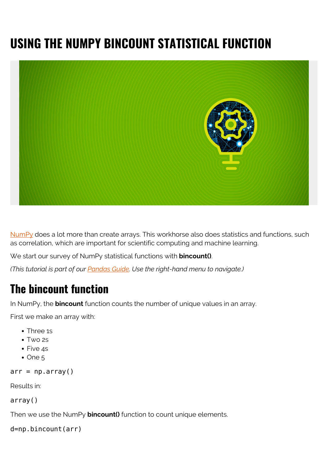# **USING THE NUMPY BINCOUNT STATISTICAL FUNCTION**



[NumPy](https://blogs.bmc.com/blogs/numpy-introduction/) does a lot more than create arrays. This workhorse also does statistics and functions, such as correlation, which are important for scientific computing and machine learning.

We start our survey of NumPy statistical functions with **bincount()**.

*(This tutorial is part of our [Pandas Guide](https://blogs.bmc.com/blogs/pandas-basics/). Use the right-hand menu to navigate.)*

### **The bincount function**

In NumPy, the **bincount** function counts the number of unique values in an array.

First we make an array with:

- Three 1s
- Two 2s
- Five 4s
- $\bullet$  One 5

```
arr = np.array()
```
Results in:

array()

Then we use the NumPy **bincount()** function to count unique elements.

```
d=np.bincount(arr)
```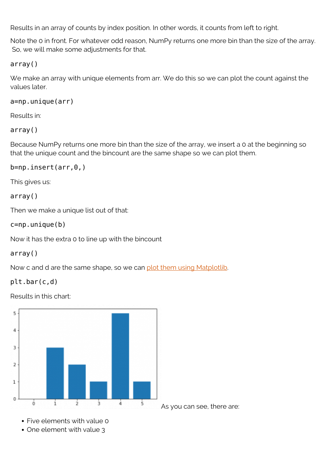Results in an array of counts by index position. In other words, it counts from left to right.

Note the 0 in front. For whatever odd reason, NumPy returns one more bin than the size of the array. So, we will make some adjustments for that.

#### array()

We make an array with unique elements from arr. We do this so we can plot the count against the values later.

a=np.unique(arr)

Results in:

#### array()

Because NumPy returns one more bin than the size of the array, we insert a 0 at the beginning so that the unique count and the bincount are the same shape so we can plot them.

#### b=np.insert(arr,0,)

This gives us:

#### array()

Then we make a unique list out of that:

#### c=np.unique(b)

Now it has the extra 0 to line up with the bincount

#### array()

Now c and d are the same shape, so we can [plot them using Matplotlib.](https://blogs.bmc.com/blogs/matplot-charts-graphs/)

#### plt.bar(c,d)

Results in this chart:



- Five elements with value 0
- One element with value 3